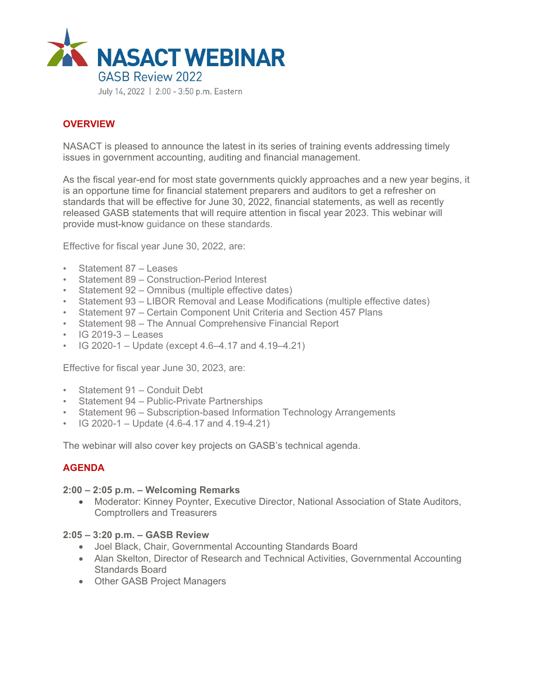

## **OVERVIEW**

NASACT is pleased to announce the latest in its series of training events addressing timely issues in government accounting, auditing and financial management.

As the fiscal year-end for most state governments quickly approaches and a new year begins, it is an opportune time for financial statement preparers and auditors to get a refresher on standards that will be effective for June 30, 2022, financial statements, as well as recently released GASB statements that will require attention in fiscal year 2023. This webinar will provide must-know guidance on these standards.

Effective for fiscal year June 30, 2022, are:

- Statement 87 Leases
- Statement 89 Construction-Period Interest
- Statement 92 Omnibus (multiple effective dates)
- Statement 93 LIBOR Removal and Lease Modifications (multiple effective dates)
- Statement 97 Certain Component Unit Criteria and Section 457 Plans
- Statement 98 The Annual Comprehensive Financial Report
- $\cdot$  IG 2019-3 Leases
- IG 2020-1 Update (except  $4.6-4.17$  and  $4.19-4.21$ )

Effective for fiscal year June 30, 2023, are:

- Statement 91 Conduit Debt
- Statement 94 Public-Private Partnerships
- Statement 96 Subscription-based Information Technology Arrangements
- IG 2020-1 Update  $(4.6 4.17 \text{ and } 4.19 4.21)$

The webinar will also cover key projects on GASB's technical agenda.

## **AGENDA**

#### **2:00 – 2:05 p.m. – Welcoming Remarks**

• Moderator: Kinney Poynter, Executive Director, National Association of State Auditors, Comptrollers and Treasurers

#### **2:05 – 3:20 p.m. – GASB Review**

- Joel Black, Chair, Governmental Accounting Standards Board
- Alan Skelton, Director of Research and Technical Activities, Governmental Accounting Standards Board
- Other GASB Project Managers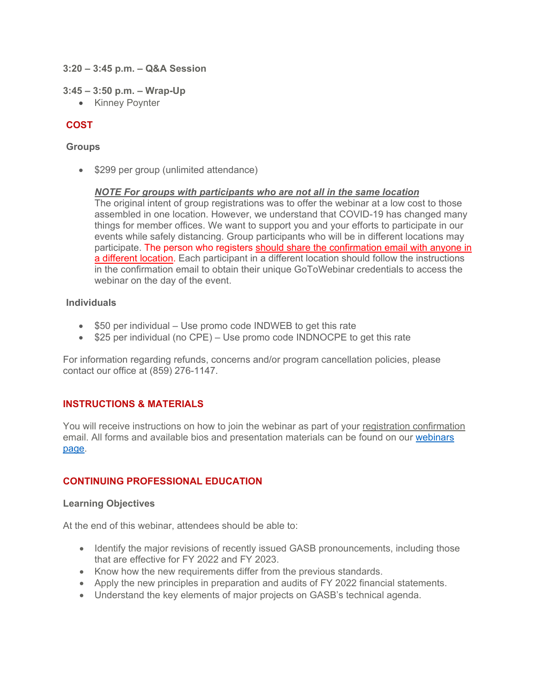#### **3:20 – 3:45 p.m. – Q&A Session**

#### **3:45 – 3:50 p.m. – Wrap-Up**

• Kinney Poynter

# **COST**

## **Groups**

• \$299 per group (unlimited attendance)

## *NOTE For groups with participants who are not all in the same location*

The original intent of group registrations was to offer the webinar at a low cost to those assembled in one location. However, we understand that COVID-19 has changed many things for member offices. We want to support you and your efforts to participate in our events while safely distancing. Group participants who will be in different locations may participate. The person who registers should share the confirmation email with anyone in a different location. Each participant in a different location should follow the instructions in the confirmation email to obtain their unique GoToWebinar credentials to access the webinar on the day of the event.

## **Individuals**

- $\bullet$  \$50 per individual Use promo code INDWEB to get this rate
- $\bullet$  \$25 per individual (no CPE) Use promo code INDNOCPE to get this rate

For information regarding refunds, concerns and/or program cancellation policies, please contact our office at (859) 276-1147.

# **INSTRUCTIONS & MATERIALS**

You will receive instructions on how to join the webinar as part of your registration confirmation email. All forms and available bios and presentation materials can be found on o[ur webinars](http://www.nasact.org/webinars)  [page.](http://www.nasact.org/webinars) 

# **CONTINUING PROFESSIONAL EDUCATION**

## **Learning Objectives**

At the end of this webinar, attendees should be able to:

- Identify the major revisions of recently issued GASB pronouncements, including those that are effective for FY 2022 and FY 2023.
- Know how the new requirements differ from the previous standards.
- Apply the new principles in preparation and audits of FY 2022 financial statements.
- Understand the key elements of major projects on GASB's technical agenda.